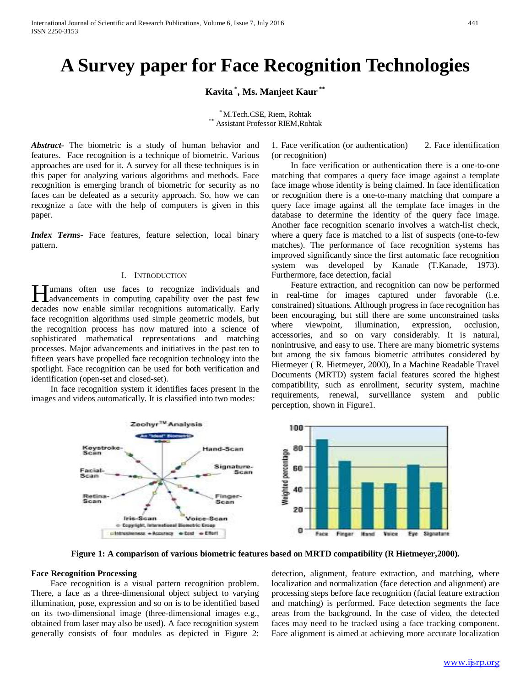# **A Survey paper for Face Recognition Technologies**

## **Kavita \* , Ms. Manjeet Kaur \*\***

\* M.Tech.CSE, Riem, Rohtak<br>Assistant Professor RIEM,Rohtak

*Abstract***-** The biometric is a study of human behavior and features. Face recognition is a technique of biometric. Various approaches are used for it. A survey for all these techniques is in this paper for analyzing various algorithms and methods. Face recognition is emerging branch of biometric for security as no faces can be defeated as a security approach. So, how we can recognize a face with the help of computers is given in this paper.

*Index Terms*- Face features, feature selection, local binary pattern.

## I. INTRODUCTION

umans often use faces to recognize individuals and **H**umans often use faces to recognize individuals and advancements in computing capability over the past few decades now enable similar recognitions automatically. Early face recognition algorithms used simple geometric models, but the recognition process has now matured into a science of sophisticated mathematical representations and matching processes. Major advancements and initiatives in the past ten to fifteen years have propelled face recognition technology into the spotlight. Face recognition can be used for both verification and identification (open-set and closed-set).

 In face recognition system it identifies faces present in the images and videos automatically. It is classified into two modes:

1. Face verification (or authentication) 2. Face identification (or recognition)

 In face verification or authentication there is a one-to-one matching that compares a query face image against a template face image whose identity is being claimed. In face identification or recognition there is a one-to-many matching that compare a query face image against all the template face images in the database to determine the identity of the query face image. Another face recognition scenario involves a watch-list check, where a query face is matched to a list of suspects (one-to-few matches). The performance of face recognition systems has improved significantly since the first automatic face recognition system was developed by Kanade (T.Kanade, 1973). Furthermore, face detection, facial

 Feature extraction, and recognition can now be performed in real-time for images captured under favorable (i.e. constrained) situations. Although progress in face recognition has been encouraging, but still there are some unconstrained tasks where viewpoint, illumination, expression, occlusion, accessories, and so on vary considerably. It is natural, nonintrusive, and easy to use. There are many biometric systems but among the six famous biometric attributes considered by Hietmeyer ( R. Hietmeyer, 2000), In a Machine Readable Travel Documents (MRTD) system facial features scored the highest compatibility, such as enrollment, security system, machine requirements, renewal, surveillance system and public perception, shown in Figure1.



**Figure 1: A comparison of various biometric features based on MRTD compatibility (R Hietmeyer,2000).**

## **Face Recognition Processing**

 Face recognition is a visual pattern recognition problem. There, a face as a three-dimensional object subject to varying illumination, pose, expression and so on is to be identified based on its two-dimensional image (three-dimensional images e.g., obtained from laser may also be used). A face recognition system generally consists of four modules as depicted in Figure 2:

detection, alignment, feature extraction, and matching, where localization and normalization (face detection and alignment) are processing steps before face recognition (facial feature extraction and matching) is performed. Face detection segments the face areas from the background. In the case of video, the detected faces may need to be tracked using a face tracking component. Face alignment is aimed at achieving more accurate localization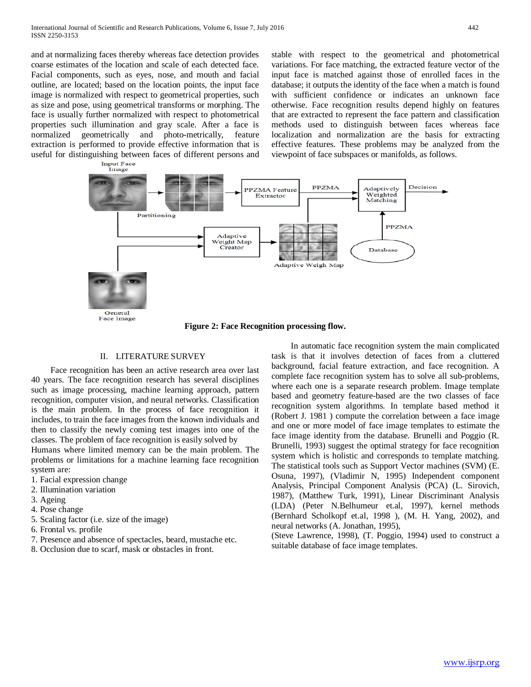and at normalizing faces thereby whereas face detection provides coarse estimates of the location and scale of each detected face. Facial components, such as eyes, nose, and mouth and facial outline, are located; based on the location points, the input face image is normalized with respect to geometrical properties, such as size and pose, using geometrical transforms or morphing. The face is usually further normalized with respect to photometrical properties such illumination and gray scale. After a face is normalized geometrically and photo-metrically, feature extraction is performed to provide effective information that is useful for distinguishing between faces of different persons and<br>  $\frac{Input \, Face}{Image}$  stable with respect to the geometrical and photometrical variations. For face matching, the extracted feature vector of the input face is matched against those of enrolled faces in the database; it outputs the identity of the face when a match is found with sufficient confidence or indicates an unknown face otherwise. Face recognition results depend highly on features that are extracted to represent the face pattern and classification methods used to distinguish between faces whereas face localization and normalization are the basis for extracting effective features. These problems may be analyzed from the viewpoint of face subspaces or manifolds, as follows.



**Figure 2: Face Recognition processing flow.**

### II. LITERATURE SURVEY

 Face recognition has been an active research area over last 40 years. The face recognition research has several disciplines such as image processing, machine learning approach, pattern recognition, computer vision, and neural networks. Classification is the main problem. In the process of face recognition it includes, to train the face images from the known individuals and then to classify the newly coming test images into one of the classes. The problem of face recognition is easily solved by

Humans where limited memory can be the main problem. The problems or limitations for a machine learning face recognition system are:

- 1. Facial expression change
- 2. Illumination variation
- 3. Ageing
- 4. Pose change
- 5. Scaling factor (i.e. size of the image)
- 6. Frontal vs. profile
- 7. Presence and absence of spectacles, beard, mustache etc.
- 8. Occlusion due to scarf, mask or obstacles in front.

 In automatic face recognition system the main complicated task is that it involves detection of faces from a cluttered background, facial feature extraction, and face recognition. A complete face recognition system has to solve all sub-problems, where each one is a separate research problem. Image template based and geometry feature-based are the two classes of face recognition system algorithms. In template based method it (Robert J. 1981 ) compute the correlation between a face image and one or more model of face image templates to estimate the face image identity from the database. Brunelli and Poggio (R. Brunelli, 1993) suggest the optimal strategy for face recognition system which is holistic and corresponds to template matching. The statistical tools such as Support Vector machines (SVM) (E. Osuna, 1997), (Vladimir N, 1995) Independent component Analysis, Principal Component Analysis (PCA) (L. Sirovich, 1987), (Matthew Turk, 1991), Linear Discriminant Analysis (LDA) (Peter N.Belhumeur et.al, 1997), kernel methods (Bernhard Scholkopf et.al, 1998 ), (M. H. Yang, 2002), and neural networks (A. Jonathan, 1995),

(Steve Lawrence, 1998), (T. Poggio, 1994) used to construct a suitable database of face image templates.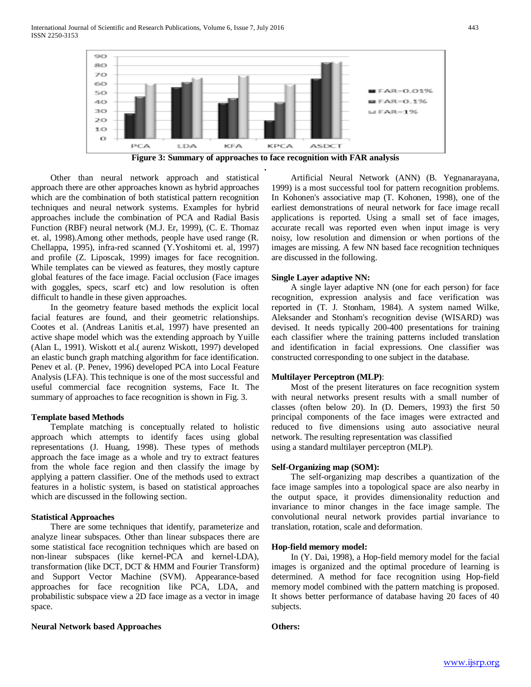

**Figure 3: Summary of approaches to face recognition with FAR analysis .**

 Other than neural network approach and statistical approach there are other approaches known as hybrid approaches which are the combination of both statistical pattern recognition techniques and neural network systems. Examples for hybrid approaches include the combination of PCA and Radial Basis Function (RBF) neural network (M.J. Er, 1999), (C. E. Thomaz et. al, 1998).Among other methods, people have used range (R. Chellappa, 1995), infra-red scanned (Y.Yoshitomi et. al, 1997) and profile (Z. Liposcak, 1999) images for face recognition. While templates can be viewed as features, they mostly capture global features of the face image. Facial occlusion (Face images with goggles, specs, scarf etc) and low resolution is often difficult to handle in these given approaches.

 In the geometry feature based methods the explicit local facial features are found, and their geometric relationships. Cootes et al. (Andreas Lanitis et.al, 1997) have presented an active shape model which was the extending approach by Yuille (Alan L, 1991). Wiskott et al.( aurenz Wiskott, 1997) developed an elastic bunch graph matching algorithm for face identification. Penev et al. (P. Penev, 1996) developed PCA into Local Feature Analysis (LFA). This technique is one of the most successful and useful commercial face recognition systems, Face It. The summary of approaches to face recognition is shown in Fig. 3.

#### **Template based Methods**

 Template matching is conceptually related to holistic approach which attempts to identify faces using global representations (J. Huang, 1998). These types of methods approach the face image as a whole and try to extract features from the whole face region and then classify the image by applying a pattern classifier. One of the methods used to extract features in a holistic system, is based on statistical approaches which are discussed in the following section.

#### **Statistical Approaches**

 There are some techniques that identify, parameterize and analyze linear subspaces. Other than linear subspaces there are some statistical face recognition techniques which are based on non-linear subspaces (like kernel-PCA and kernel-LDA), transformation (like DCT, DCT & HMM and Fourier Transform) and Support Vector Machine (SVM). Appearance-based approaches for face recognition like PCA, LDA, and probabilistic subspace view a 2D face image as a vector in image space.

#### **Neural Network based Approaches**

 Artificial Neural Network (ANN) (B. Yegnanarayana, 1999) is a most successful tool for pattern recognition problems. In Kohonen's associative map (T. Kohonen, 1998), one of the earliest demonstrations of neural network for face image recall applications is reported. Using a small set of face images, accurate recall was reported even when input image is very noisy, low resolution and dimension or when portions of the images are missing. A few NN based face recognition techniques are discussed in the following.

## **Single Layer adaptive NN:**

 A single layer adaptive NN (one for each person) for face recognition, expression analysis and face verification was reported in (T. J. Stonham, 1984). A system named Wilke, Aleksander and Stonham's recognition devise (WISARD) was devised. It needs typically 200-400 presentations for training each classifier where the training patterns included translation and identification in facial expressions. One classifier was constructed corresponding to one subject in the database.

### **Multilayer Perceptron (MLP)**:

 Most of the present literatures on face recognition system with neural networks present results with a small number of classes (often below 20). In (D. Demers, 1993) the first 50 principal components of the face images were extracted and reduced to five dimensions using auto associative neural network. The resulting representation was classified using a standard multilayer perceptron (MLP).

## **Self-Organizing map (SOM):**

 The self-organizing map describes a quantization of the face image samples into a topological space are also nearby in the output space, it provides dimensionality reduction and invariance to minor changes in the face image sample. The convolutional neural network provides partial invariance to translation, rotation, scale and deformation.

#### **Hop-field memory model:**

 In (Y. Dai, 1998), a Hop-field memory model for the facial images is organized and the optimal procedure of learning is determined. A method for face recognition using Hop-field memory model combined with the pattern matching is proposed. It shows better performance of database having 20 faces of 40 subjects.

### **Others:**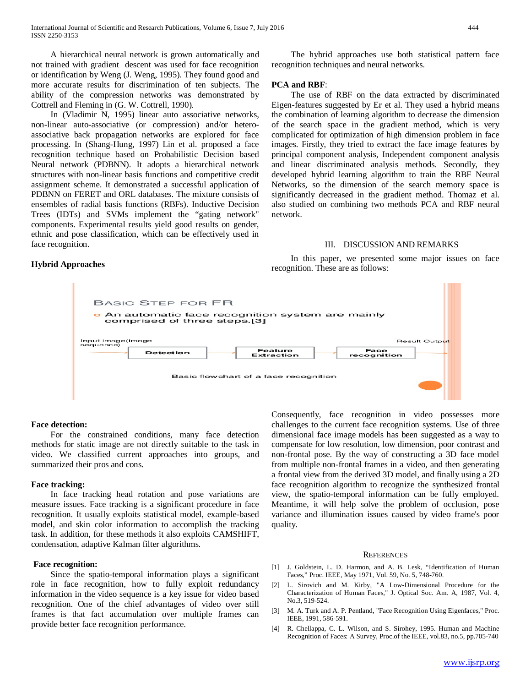A hierarchical neural network is grown automatically and not trained with gradient descent was used for face recognition or identification by Weng (J. Weng, 1995). They found good and more accurate results for discrimination of ten subjects. The ability of the compression networks was demonstrated by Cottrell and Fleming in (G. W. Cottrell, 1990).

 In (Vladimir N, 1995) linear auto associative networks, non-linear auto-associative (or compression) and/or heteroassociative back propagation networks are explored for face processing. In (Shang-Hung, 1997) Lin et al. proposed a face recognition technique based on Probabilistic Decision based Neural network (PDBNN). It adopts a hierarchical network structures with non-linear basis functions and competitive credit assignment scheme. It demonstrated a successful application of PDBNN on FERET and ORL databases. The mixture consists of ensembles of radial basis functions (RBFs). Inductive Decision Trees (IDTs) and SVMs implement the "gating network" components. Experimental results yield good results on gender, ethnic and pose classification, which can be effectively used in face recognition.

 The hybrid approaches use both statistical pattern face recognition techniques and neural networks.

## **PCA and RBF**:

 The use of RBF on the data extracted by discriminated Eigen-features suggested by Er et al. They used a hybrid means the combination of learning algorithm to decrease the dimension of the search space in the gradient method, which is very complicated for optimization of high dimension problem in face images. Firstly, they tried to extract the face image features by principal component analysis, Independent component analysis and linear discriminated analysis methods. Secondly, they developed hybrid learning algorithm to train the RBF Neural Networks, so the dimension of the search memory space is significantly decreased in the gradient method. Thomaz et al. also studied on combining two methods PCA and RBF neural network.

### III. DISCUSSION AND REMARKS

 In this paper, we presented some major issues on face recognition. These are as follows:



**BASIC STEP FOR FR o** An automatic face recognition system are mainly comprised of three steps.[3] Result Output Input image(image<br>sequence) Face<br>recognition **Feature**<br>Extraction **Detection** Basic flowchart of a face recognition

## **Face detection:**

 For the constrained conditions, many face detection methods for static image are not directly suitable to the task in video. We classified current approaches into groups, and summarized their pros and cons.

#### **Face tracking:**

 In face tracking head rotation and pose variations are measure issues. Face tracking is a significant procedure in face recognition. It usually exploits statistical model, example-based model, and skin color information to accomplish the tracking task. In addition, for these methods it also exploits CAMSHIFT, condensation, adaptive Kalman filter algorithms.

#### **Face recognition:**

 Since the spatio-temporal information plays a significant role in face recognition, how to fully exploit redundancy information in the video sequence is a key issue for video based recognition. One of the chief advantages of video over still frames is that fact accumulation over multiple frames can provide better face recognition performance.

Consequently, face recognition in video possesses more challenges to the current face recognition systems. Use of three dimensional face image models has been suggested as a way to compensate for low resolution, low dimension, poor contrast and non-frontal pose. By the way of constructing a 3D face model from multiple non-frontal frames in a video, and then generating a frontal view from the derived 3D model, and finally using a 2D face recognition algorithm to recognize the synthesized frontal view, the spatio-temporal information can be fully employed. Meantime, it will help solve the problem of occlusion, pose variance and illumination issues caused by video frame's poor quality.

#### **REFERENCES**

- [1] J. Goldstein, L. D. Harmon, and A. B. Lesk, "Identification of Human Faces," Proc. IEEE, May 1971, Vol. 59, No. 5, 748-760.
- [2] L. Sirovich and M. Kirby, "A Low-Dimensional Procedure for the Characterization of Human Faces," J. Optical Soc. Am. A, 1987, Vol. 4, No.3, 519-524.
- [3] M. A. Turk and A. P. Pentland, "Face Recognition Using Eigenfaces," Proc. IEEE, 1991, 586-591.
- [4] R. Chellappa, C. L. Wilson, and S. Sirohey, 1995. Human and Machine Recognition of Faces: A Survey, Proc.of the IEEE, vol.83, no.5, pp.705-740